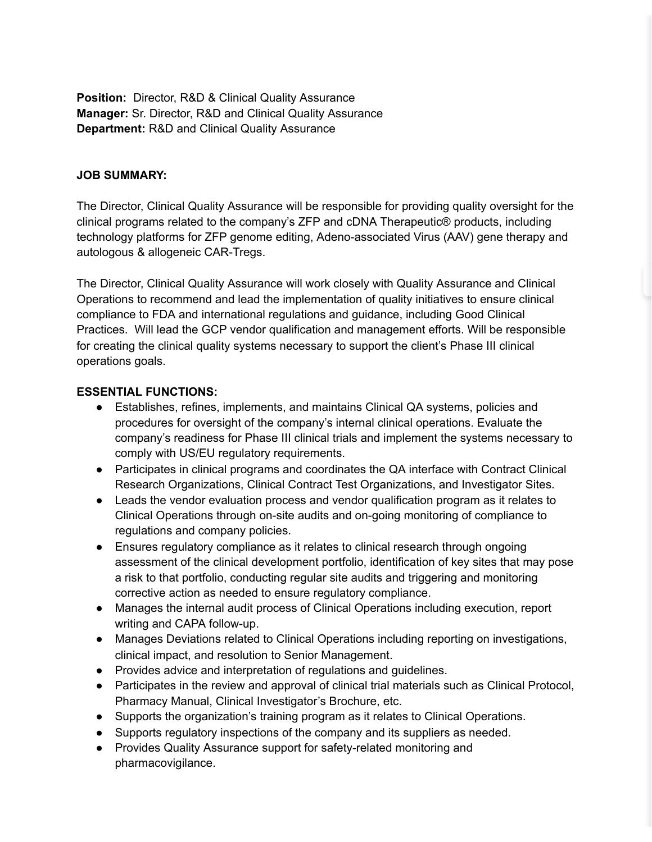**Position:** Director, R&D & Clinical Quality Assurance **Manager:** Sr. Director, R&D and Clinical Quality Assurance **Department:** R&D and Clinical Quality Assurance

### **JOB SUMMARY:**

The Director, Clinical Quality Assurance will be responsible for providing quality oversight for the clinical programs related to the company's ZFP and cDNA Therapeutic® products, including technology platforms for ZFP genome editing, Adeno-associated Virus (AAV) gene therapy and autologous & allogeneic CAR-Tregs.

The Director, Clinical Quality Assurance will work closely with Quality Assurance and Clinical Operations to recommend and lead the implementation of quality initiatives to ensure clinical compliance to FDA and international regulations and guidance, including Good Clinical Practices. Will lead the GCP vendor qualification and management efforts. Will be responsible for creating the clinical quality systems necessary to support the client's Phase III clinical operations goals.

### **ESSENTIAL FUNCTIONS:**

- Establishes, refines, implements, and maintains Clinical QA systems, policies and procedures for oversight of the company's internal clinical operations. Evaluate the company's readiness for Phase III clinical trials and implement the systems necessary to comply with US/EU regulatory requirements.
- Participates in clinical programs and coordinates the QA interface with Contract Clinical Research Organizations, Clinical Contract Test Organizations, and Investigator Sites.
- Leads the vendor evaluation process and vendor qualification program as it relates to Clinical Operations through on-site audits and on-going monitoring of compliance to regulations and company policies.
- Ensures regulatory compliance as it relates to clinical research through ongoing assessment of the clinical development portfolio, identification of key sites that may pose a risk to that portfolio, conducting regular site audits and triggering and monitoring corrective action as needed to ensure regulatory compliance.
- Manages the internal audit process of Clinical Operations including execution, report writing and CAPA follow-up.
- Manages Deviations related to Clinical Operations including reporting on investigations, clinical impact, and resolution to Senior Management.
- Provides advice and interpretation of regulations and guidelines.
- Participates in the review and approval of clinical trial materials such as Clinical Protocol, Pharmacy Manual, Clinical Investigator's Brochure, etc.
- Supports the organization's training program as it relates to Clinical Operations.
- Supports regulatory inspections of the company and its suppliers as needed.
- Provides Quality Assurance support for safety-related monitoring and pharmacovigilance.